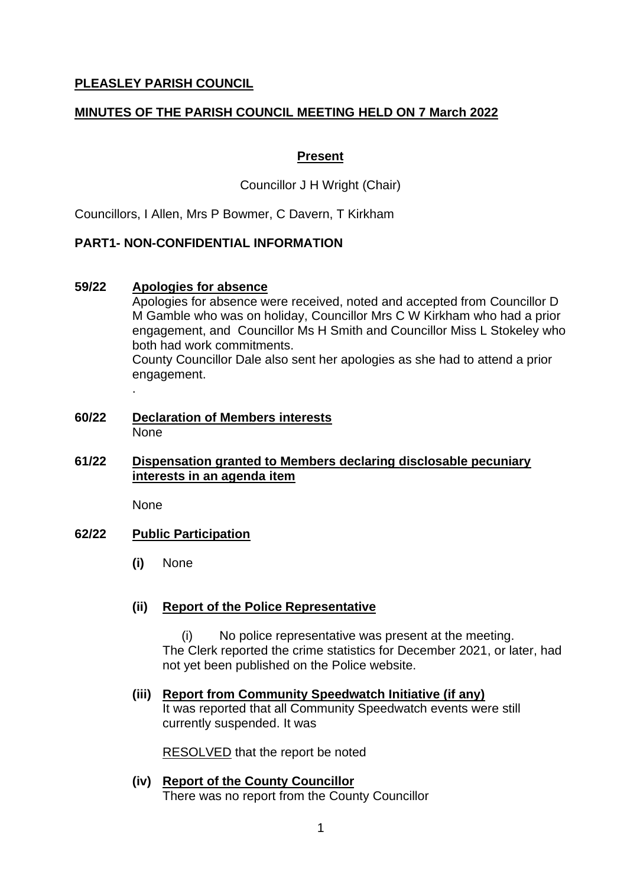# **PLEASLEY PARISH COUNCIL**

# **MINUTES OF THE PARISH COUNCIL MEETING HELD ON 7 March 2022**

## **Present**

Councillor J H Wright (Chair)

Councillors, I Allen, Mrs P Bowmer, C Davern, T Kirkham

## **PART1- NON-CONFIDENTIAL INFORMATION**

## **59/22 Apologies for absence**

Apologies for absence were received, noted and accepted from Councillor D M Gamble who was on holiday, Councillor Mrs C W Kirkham who had a prior engagement, and Councillor Ms H Smith and Councillor Miss L Stokeley who both had work commitments.

County Councillor Dale also sent her apologies as she had to attend a prior engagement.

**60/22 Declaration of Members interests** None

## **61/22 Dispensation granted to Members declaring disclosable pecuniary interests in an agenda item**

None

.

## **62/22 Public Participation**

**(i)** None

## **(ii) Report of the Police Representative**

(i) No police representative was present at the meeting. The Clerk reported the crime statistics for December 2021, or later, had not yet been published on the Police website.

### **(iii) Report from Community Speedwatch Initiative (if any)** It was reported that all Community Speedwatch events were still currently suspended. It was

RESOLVED that the report be noted

**(iv) Report of the County Councillor** There was no report from the County Councillor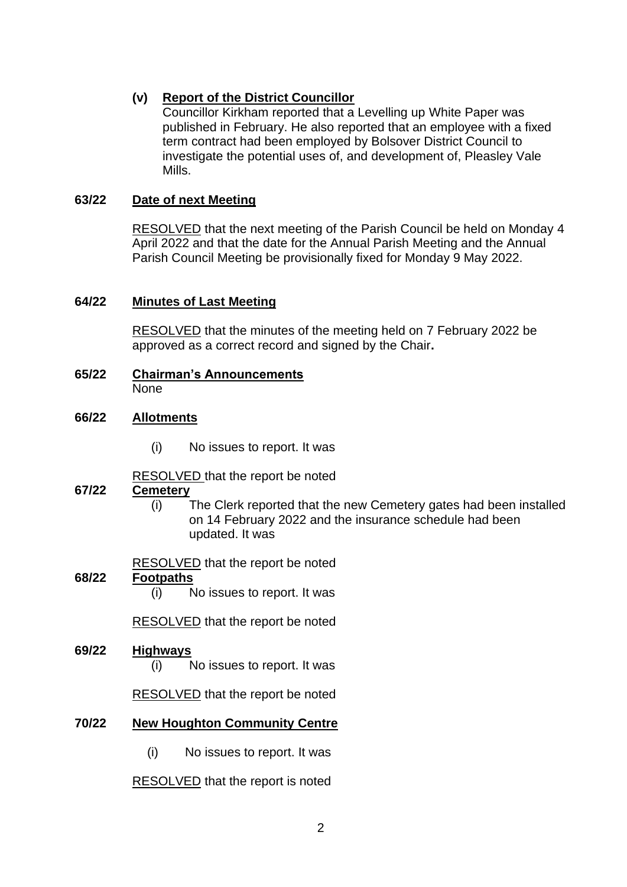# **(v) Report of the District Councillor**

Councillor Kirkham reported that a Levelling up White Paper was published in February. He also reported that an employee with a fixed term contract had been employed by Bolsover District Council to investigate the potential uses of, and development of, Pleasley Vale Mills.

# **63/22 Date of next Meeting**

RESOLVED that the next meeting of the Parish Council be held on Monday 4 April 2022 and that the date for the Annual Parish Meeting and the Annual Parish Council Meeting be provisionally fixed for Monday 9 May 2022.

## **64/22 Minutes of Last Meeting**

RESOLVED that the minutes of the meeting held on 7 February 2022 be approved as a correct record and signed by the Chair**.**

**65/22 Chairman's Announcements** None

## **66/22 Allotments**

(i) No issues to report. It was

RESOLVED that the report be noted

## **67/22 Cemetery**

(i) The Clerk reported that the new Cemetery gates had been installed on 14 February 2022 and the insurance schedule had been updated. It was

RESOLVED that the report be noted

## **68/22 Footpaths**

(i) No issues to report. It was

RESOLVED that the report be noted

## **69/22 Highways**

(i) No issues to report. It was

RESOLVED that the report be noted

# **70/22 New Houghton Community Centre**

(i) No issues to report. It was

RESOLVED that the report is noted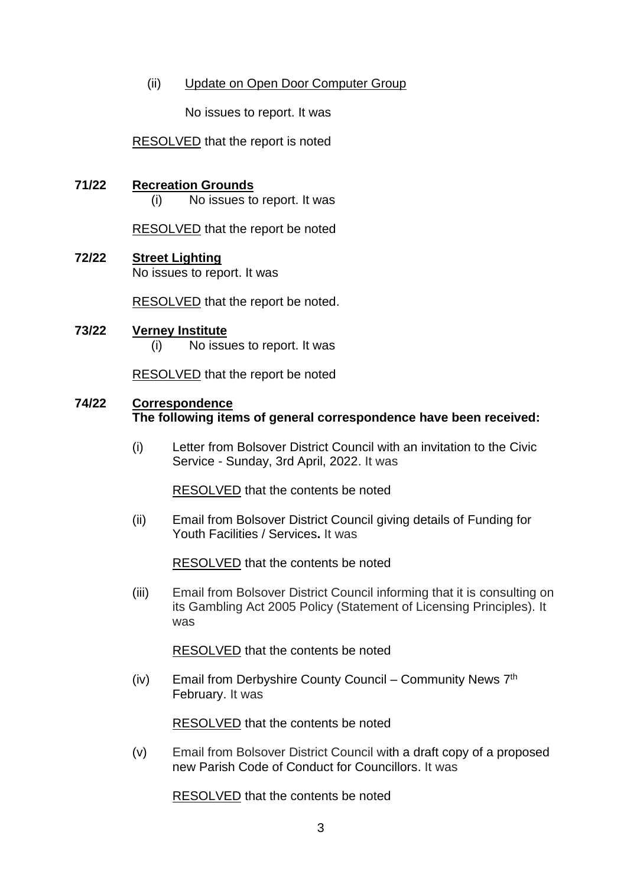## (ii) Update on Open Door Computer Group

No issues to report. It was

RESOLVED that the report is noted

### **71/22 Recreation Grounds**

(i) No issues to report. It was

RESOLVED that the report be noted

# **72/22 Street Lighting**

No issues to report. It was

RESOLVED that the report be noted.

### **73/22 Verney Institute** (i) No issues to report. It was

RESOLVED that the report be noted

### **74/22 Correspondence The following items of general correspondence have been received:**

(i) Letter from Bolsover District Council with an invitation to the Civic Service - Sunday, 3rd April, 2022. It was

RESOLVED that the contents be noted

(ii) Email from Bolsover District Council giving details of Funding for Youth Facilities / Services**.** It was

RESOLVED that the contents be noted

(iii) Email from Bolsover District Council informing that it is consulting on its Gambling Act 2005 Policy (Statement of Licensing Principles). It was

RESOLVED that the contents be noted

(iv) Email from Derbyshire County Council – Community News  $7<sup>th</sup>$ February. It was

RESOLVED that the contents be noted

(v) Email from Bolsover District Council with a draft copy of a proposed new Parish Code of Conduct for Councillors. It was

RESOLVED that the contents be noted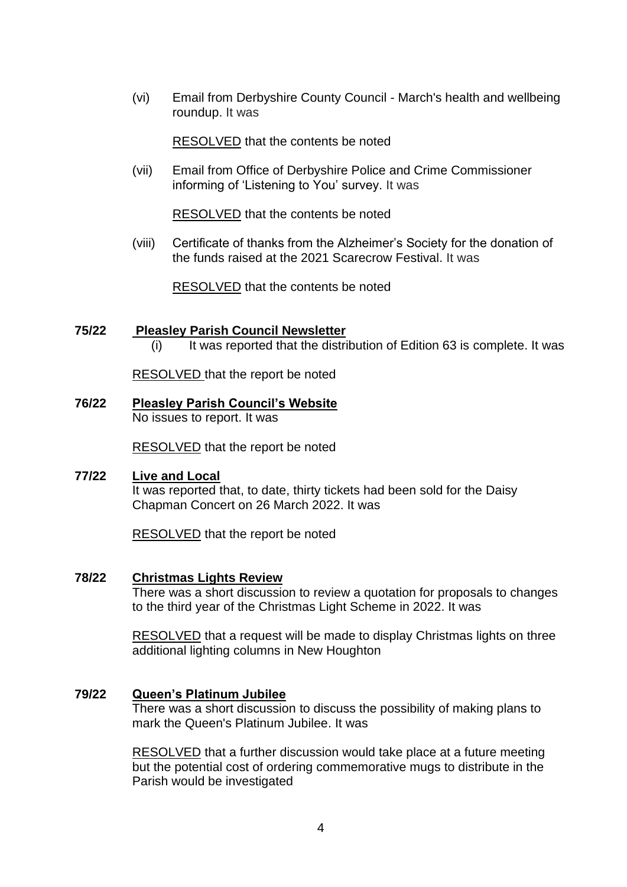(vi) Email from Derbyshire County Council - March's health and wellbeing roundup. It was

RESOLVED that the contents be noted

(vii) Email from Office of Derbyshire Police and Crime Commissioner informing of 'Listening to You' survey. It was

RESOLVED that the contents be noted

(viii) Certificate of thanks from the Alzheimer's Society for the donation of the funds raised at the 2021 Scarecrow Festival. It was

RESOLVED that the contents be noted

# **75/22 Pleasley Parish Council Newsletter**

(i) It was reported that the distribution of Edition 63 is complete. It was

RESOLVED that the report be noted

# **76/22 Pleasley Parish Council's Website**

No issues to report. It was

RESOLVED that the report be noted

### **77/22 Live and Local**

It was reported that, to date, thirty tickets had been sold for the Daisy Chapman Concert on 26 March 2022. It was

RESOLVED that the report be noted

### **78/22 Christmas Lights Review**

There was a short discussion to review a quotation for proposals to changes to the third year of the Christmas Light Scheme in 2022. It was

RESOLVED that a request will be made to display Christmas lights on three additional lighting columns in New Houghton

### **79/22 Queen's Platinum Jubilee**

There was a short discussion to discuss the possibility of making plans to mark the Queen's Platinum Jubilee. It was

RESOLVED that a further discussion would take place at a future meeting but the potential cost of ordering commemorative mugs to distribute in the Parish would be investigated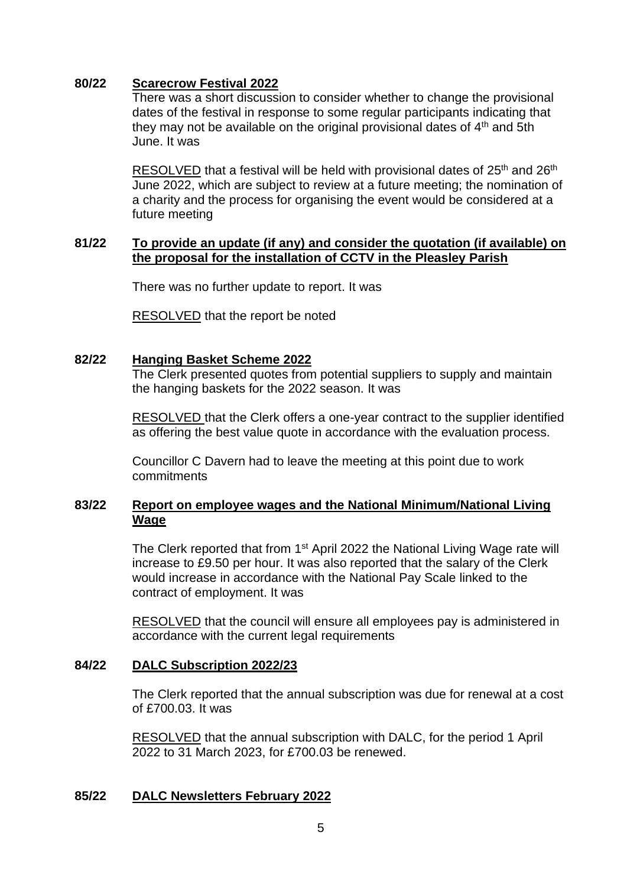## **80/22 Scarecrow Festival 2022**

There was a short discussion to consider whether to change the provisional dates of the festival in response to some regular participants indicating that they may not be available on the original provisional dates of  $4<sup>th</sup>$  and 5th June. It was

RESOLVED that a festival will be held with provisional dates of 25<sup>th</sup> and 26<sup>th</sup> June 2022, which are subject to review at a future meeting; the nomination of a charity and the process for organising the event would be considered at a future meeting

### **81/22 To provide an update (if any) and consider the quotation (if available) on the proposal for the installation of CCTV in the Pleasley Parish**

There was no further update to report. It was

RESOLVED that the report be noted

### **82/22 Hanging Basket Scheme 2022**

The Clerk presented quotes from potential suppliers to supply and maintain the hanging baskets for the 2022 season. It was

RESOLVED that the Clerk offers a one-year contract to the supplier identified as offering the best value quote in accordance with the evaluation process.

Councillor C Davern had to leave the meeting at this point due to work commitments

## **83/22 Report on employee wages and the National Minimum/National Living Wage**

The Clerk reported that from 1<sup>st</sup> April 2022 the National Living Wage rate will increase to £9.50 per hour. It was also reported that the salary of the Clerk would increase in accordance with the National Pay Scale linked to the contract of employment. It was

RESOLVED that the council will ensure all employees pay is administered in accordance with the current legal requirements

### **84/22 DALC Subscription 2022/23**

The Clerk reported that the annual subscription was due for renewal at a cost of £700.03. It was

RESOLVED that the annual subscription with DALC, for the period 1 April 2022 to 31 March 2023, for £700.03 be renewed.

## **85/22 DALC Newsletters February 2022**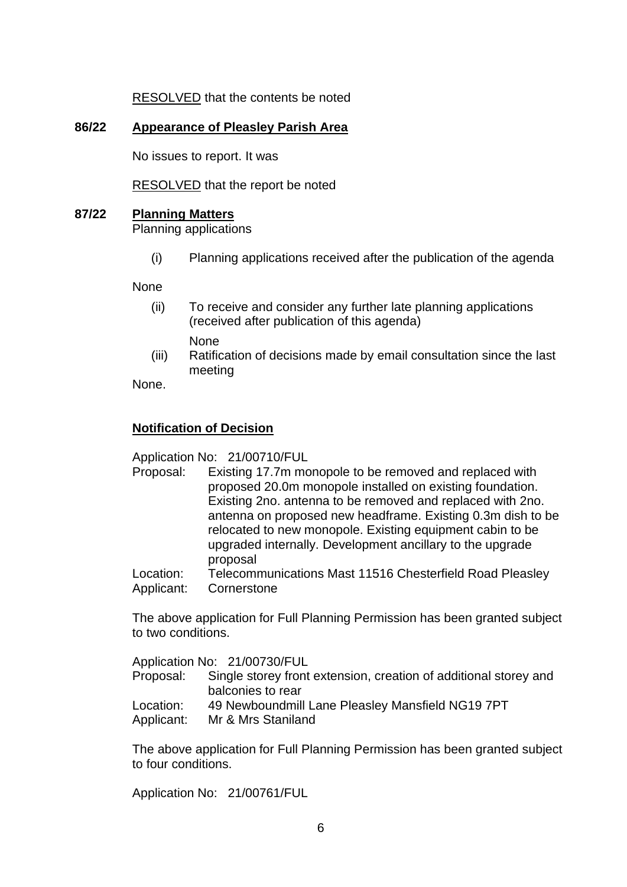RESOLVED that the contents be noted

## **86/22 Appearance of Pleasley Parish Area**

No issues to report. It was

RESOLVED that the report be noted

## **87/22 Planning Matters**

Planning applications

(i) Planning applications received after the publication of the agenda

None

- (ii) To receive and consider any further late planning applications (received after publication of this agenda) None
- (iii) Ratification of decisions made by email consultation since the last meeting

None.

## **Notification of Decision**

Application No: 21/00710/FUL

- Proposal: Existing 17.7m monopole to be removed and replaced with proposed 20.0m monopole installed on existing foundation. Existing 2no. antenna to be removed and replaced with 2no. antenna on proposed new headframe. Existing 0.3m dish to be relocated to new monopole. Existing equipment cabin to be upgraded internally. Development ancillary to the upgrade proposal
- Location: Telecommunications Mast 11516 Chesterfield Road Pleasley Applicant: Cornerstone

The above application for Full Planning Permission has been granted subject to two conditions.

Application No: 21/00730/FUL

- Proposal: Single storey front extension, creation of additional storey and balconies to rear
- Location: 49 Newboundmill Lane Pleasley Mansfield NG19 7PT
- Applicant: Mr & Mrs Staniland

The above application for Full Planning Permission has been granted subject to four conditions.

Application No: 21/00761/FUL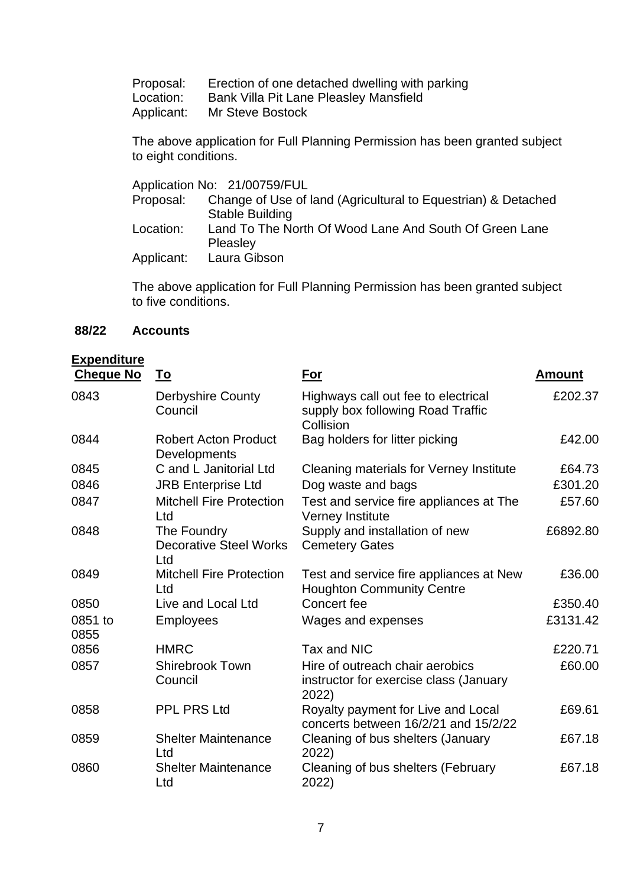Proposal: Erection of one detached dwelling with parking

Location: Bank Villa Pit Lane Pleasley Mansfield<br>Applicant: Mr Steve Bostock

**Mr Steve Bostock** 

The above application for Full Planning Permission has been granted subject to eight conditions.

|           | Application No: 21/00759/FUL                                  |
|-----------|---------------------------------------------------------------|
| Proposal: | Change of Use of land (Agricultural to Equestrian) & Detached |
|           | <b>Stable Building</b>                                        |
| Location: | Land To The North Of Wood Lane And South Of Green Lane        |
|           | Pleasley                                                      |
|           | Applicant: Laura Gibson                                       |

The above application for Full Planning Permission has been granted subject to five conditions.

# **88/22 Accounts**

# **Expenditure**

| <b>Cheque No</b> | <u>To</u>                                           | For                                                                                   | <b>Amount</b> |
|------------------|-----------------------------------------------------|---------------------------------------------------------------------------------------|---------------|
| 0843             | <b>Derbyshire County</b><br>Council                 | Highways call out fee to electrical<br>supply box following Road Traffic<br>Collision | £202.37       |
| 0844             | <b>Robert Acton Product</b><br>Developments         | Bag holders for litter picking                                                        | £42.00        |
| 0845             | C and L Janitorial Ltd                              | Cleaning materials for Verney Institute                                               | £64.73        |
| 0846             | <b>JRB Enterprise Ltd</b>                           | Dog waste and bags                                                                    | £301.20       |
| 0847             | <b>Mitchell Fire Protection</b><br>Ltd              | Test and service fire appliances at The<br>Verney Institute                           | £57.60        |
| 0848             | The Foundry<br><b>Decorative Steel Works</b><br>Ltd | Supply and installation of new<br><b>Cemetery Gates</b>                               | £6892.80      |
| 0849             | <b>Mitchell Fire Protection</b><br>Ltd              | Test and service fire appliances at New<br><b>Houghton Community Centre</b>           | £36.00        |
| 0850             | Live and Local Ltd                                  | Concert fee                                                                           | £350.40       |
| 0851 to<br>0855  | <b>Employees</b>                                    | Wages and expenses                                                                    | £3131.42      |
| 0856             | <b>HMRC</b>                                         | Tax and NIC                                                                           | £220.71       |
| 0857             | <b>Shirebrook Town</b><br>Council                   | Hire of outreach chair aerobics<br>instructor for exercise class (January<br>2022)    | £60.00        |
| 0858             | <b>PPL PRS Ltd</b>                                  | Royalty payment for Live and Local<br>concerts between 16/2/21 and 15/2/22            | £69.61        |
| 0859             | <b>Shelter Maintenance</b><br>Ltd                   | Cleaning of bus shelters (January<br>2022)                                            | £67.18        |
| 0860             | <b>Shelter Maintenance</b><br>Ltd                   | Cleaning of bus shelters (February<br>2022)                                           | £67.18        |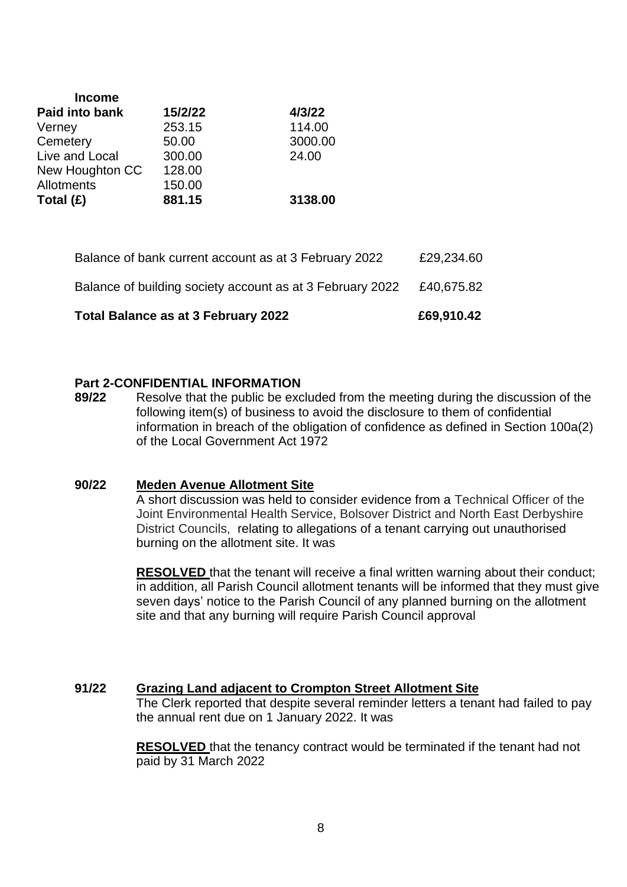| <b>Income</b>   |         |         |  |
|-----------------|---------|---------|--|
| Paid into bank  | 15/2/22 | 4/3/22  |  |
| Verney          | 253.15  | 114.00  |  |
| Cemetery        | 50.00   | 3000.00 |  |
| Live and Local  | 300.00  | 24.00   |  |
| New Houghton CC | 128.00  |         |  |
| Allotments      | 150.00  |         |  |
| Total $(E)$     | 881.15  | 3138.00 |  |

| Total Balance as at 3 February 2022                       | £69,910.42 |
|-----------------------------------------------------------|------------|
| Balance of building society account as at 3 February 2022 | £40.675.82 |
| Balance of bank current account as at 3 February 2022     | £29,234.60 |

### **Part 2-CONFIDENTIAL INFORMATION**

**89/22** Resolve that the public be excluded from the meeting during the discussion of the following item(s) of business to avoid the disclosure to them of confidential information in breach of the obligation of confidence as defined in Section 100a(2) of the Local Government Act 1972

### **90/22 Meden Avenue Allotment Site**

A short discussion was held to consider evidence from a Technical Officer of the Joint Environmental Health Service, Bolsover District and North East Derbyshire District Councils, relating to allegations of a tenant carrying out unauthorised burning on the allotment site. It was

**RESOLVED** that the tenant will receive a final written warning about their conduct; in addition, all Parish Council allotment tenants will be informed that they must give seven days' notice to the Parish Council of any planned burning on the allotment site and that any burning will require Parish Council approval

## **91/22 Grazing Land adjacent to Crompton Street Allotment Site**

The Clerk reported that despite several reminder letters a tenant had failed to pay the annual rent due on 1 January 2022. It was

**RESOLVED** that the tenancy contract would be terminated if the tenant had not paid by 31 March 2022